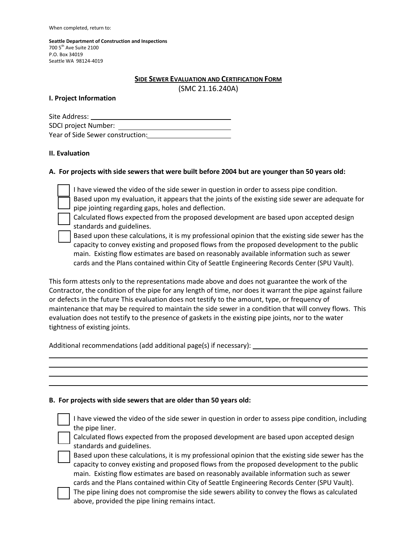When completed, return to:

**Seattle Department of Construction and Inspections** 700 5th Ave Suite 2100 P.O. Box 34019 Seattle WA 98124-4019

### **SIDE SEWER EVALUATION AND CERTIFICATION FORM**

(SMC 21.16.240A)

### **I. Project Information**

| Site Address:                    |
|----------------------------------|
| SDCI project Number:             |
| Year of Side Sewer construction: |

# **II. Evaluation**

# **A. For projects with side sewers that were built before 2004 but are younger than 50 years old:**

I have viewed the video of the side sewer in question in order to assess pipe condition. Based upon my evaluation, it appears that the joints of the existing side sewer are adequate for pipe jointing regarding gaps, holes and deflection.

Calculated flows expected from the proposed development are based upon accepted design standards and guidelines.

Based upon these calculations, it is my professional opinion that the existing side sewer has the capacity to convey existing and proposed flows from the proposed development to the public main. Existing flow estimates are based on reasonably available information such as sewer cards and the Plans contained within City of Seattle Engineering Records Center (SPU Vault).

This form attests only to the representations made above and does not guarantee the work of the Contractor, the condition of the pipe for any length of time, nor does it warrant the pipe against failure or defects in the future This evaluation does not testify to the amount, type, or frequency of maintenance that may be required to maintain the side sewer in a condition that will convey flows. This evaluation does not testify to the presence of gaskets in the existing pipe joints, nor to the water tightness of existing joints.

Additional recommendations (add additional page(s) if necessary):

# **B. For projects with side sewers that are older than 50 years old:**

I have viewed the video of the side sewer in question in order to assess pipe condition, including the pipe liner.

Calculated flows expected from the proposed development are based upon accepted design standards and guidelines.

Based upon these calculations, it is my professional opinion that the existing side sewer has the capacity to convey existing and proposed flows from the proposed development to the public main. Existing flow estimates are based on reasonably available information such as sewer cards and the Plans contained within City of Seattle Engineering Records Center (SPU Vault).

The pipe lining does not compromise the side sewers ability to convey the flows as calculated above, provided the pipe lining remains intact.